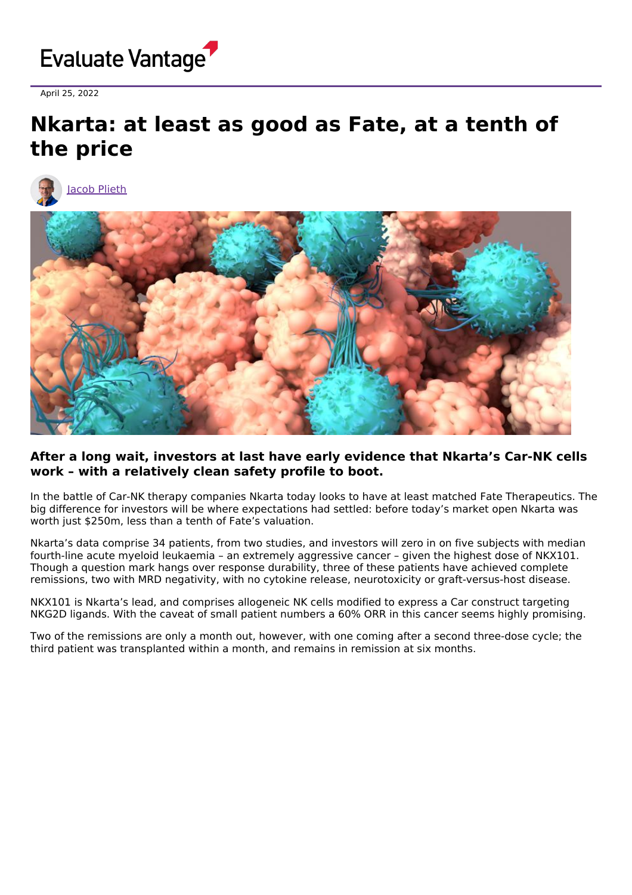

April 25, 2022

## **Nkarta: at least as good as Fate, at a tenth of the price**





## **After a long wait, investors at last have early evidence that Nkarta's Car-NK cells work – with a relatively clean safety profile to boot.**

In the battle of Car-NK therapy companies Nkarta today looks to have at least matched Fate Therapeutics. The big difference for investors will be where expectations had settled: before today's market open Nkarta was worth just \$250m, less than a tenth of Fate's valuation.

Nkarta's data comprise 34 patients, from two studies, and investors will zero in on five subjects with median fourth-line acute myeloid leukaemia – an extremely aggressive cancer – given the highest dose of NKX101. Though a question mark hangs over response durability, three of these patients have achieved complete remissions, two with MRD negativity, with no cytokine release, neurotoxicity or graft-versus-host disease.

NKX101 is Nkarta's lead, and comprises allogeneic NK cells modified to express a Car construct targeting NKG2D ligands. With the caveat of small patient numbers a 60% ORR in this cancer seems highly promising.

Two of the remissions are only a month out, however, with one coming after a second three-dose cycle; the third patient was transplanted within a month, and remains in remission at six months.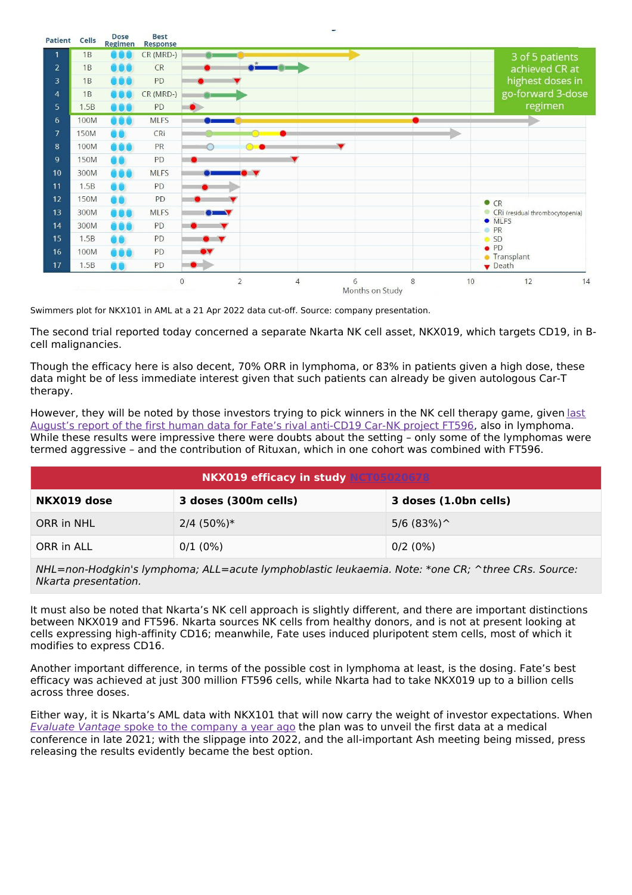

Swimmers plot for NKX101 in AML at a 21 Apr 2022 data cut-off. Source: company presentation.

The second trial reported today concerned a separate Nkarta NK cell asset, NKX019, which targets CD19, in Bcell malignancies.

Though the efficacy here is also decent, 70% ORR in lymphoma, or 83% in patients given a high dose, these data might be of less immediate interest given that such patients can already be given autologous Car-T therapy.

However, they will be noted by those investors trying to pick winners in the NK cell therapy game, given last August's report of the first human data for Fate's rival anti-CD19 Car-NK project FT596, also in [lymphoma.](https://www.evaluate.com/vantage/articles/news/trial-results/fate-delivers-point) While these results were impressive there were doubts about the setting - only some of the lymphomas were termed aggressive – and the contribution of Rituxan, which in one cohort was combined with FT596.

| <b>NKX019 efficacy in study NCT05020678</b> |                      |                       |  |  |
|---------------------------------------------|----------------------|-----------------------|--|--|
| NKX019 dose                                 | 3 doses (300m cells) | 3 doses (1.0bn cells) |  |  |
| ORR in NHL                                  | $2/4$ (50%)*         | $5/6$ (83%) ^         |  |  |
| ORR in ALL                                  | 0/1(0%)              | 0/2(0%)               |  |  |

NHL=non-Hodgkin's lymphoma; ALL=acute lymphoblastic leukaemia. Note: \*one CR; ^three CRs. Source: Nkarta presentation.

It must also be noted that Nkarta's NK cell approach is slightly different, and there are important distinctions between NKX019 and FT596. Nkarta sources NK cells from healthy donors, and is not at present looking at cells expressing high-affinity CD16; meanwhile, Fate uses induced pluripotent stem cells, most of which it modifies to express CD16.

Another important difference, in terms of the possible cost in lymphoma at least, is the dosing. Fate's best efficacy was achieved at just 300 million FT596 cells, while Nkarta had to take NKX019 up to a billion cells across three doses.

Either way, it is Nkarta's AML data with NKX101 that will now carry the weight of investor expectations. When Evaluate Vantage spoke to the [company](https://www.evaluate.com/vantage/articles/interviews/can-we-freeze-them-yes-we-can-says-nkarta) a year ago the plan was to unveil the first data at a medical conference in late 2021; with the slippage into 2022, and the all-important Ash meeting being missed, press releasing the results evidently became the best option.